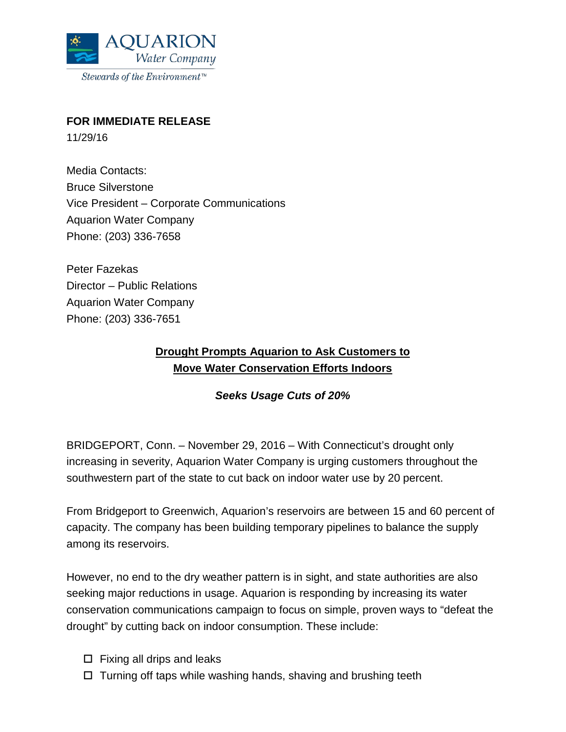

## **FOR IMMEDIATE RELEASE**

11/29/16

Media Contacts: Bruce Silverstone Vice President – Corporate Communications Aquarion Water Company Phone: (203) 336-7658

Peter Fazekas Director – Public Relations Aquarion Water Company Phone: (203) 336-7651

## **Drought Prompts Aquarion to Ask Customers to Move Water Conservation Efforts Indoors**

## *Seeks Usage Cuts of 20%*

BRIDGEPORT, Conn. – November 29, 2016 – With Connecticut's drought only increasing in severity, Aquarion Water Company is urging customers throughout the southwestern part of the state to cut back on indoor water use by 20 percent.

From Bridgeport to Greenwich, Aquarion's reservoirs are between 15 and 60 percent of capacity. The company has been building temporary pipelines to balance the supply among its reservoirs.

However, no end to the dry weather pattern is in sight, and state authorities are also seeking major reductions in usage. Aquarion is responding by increasing its water conservation communications campaign to focus on simple, proven ways to "defeat the drought" by cutting back on indoor consumption. These include:

- $\square$  Fixing all drips and leaks
- $\Box$  Turning off taps while washing hands, shaving and brushing teeth